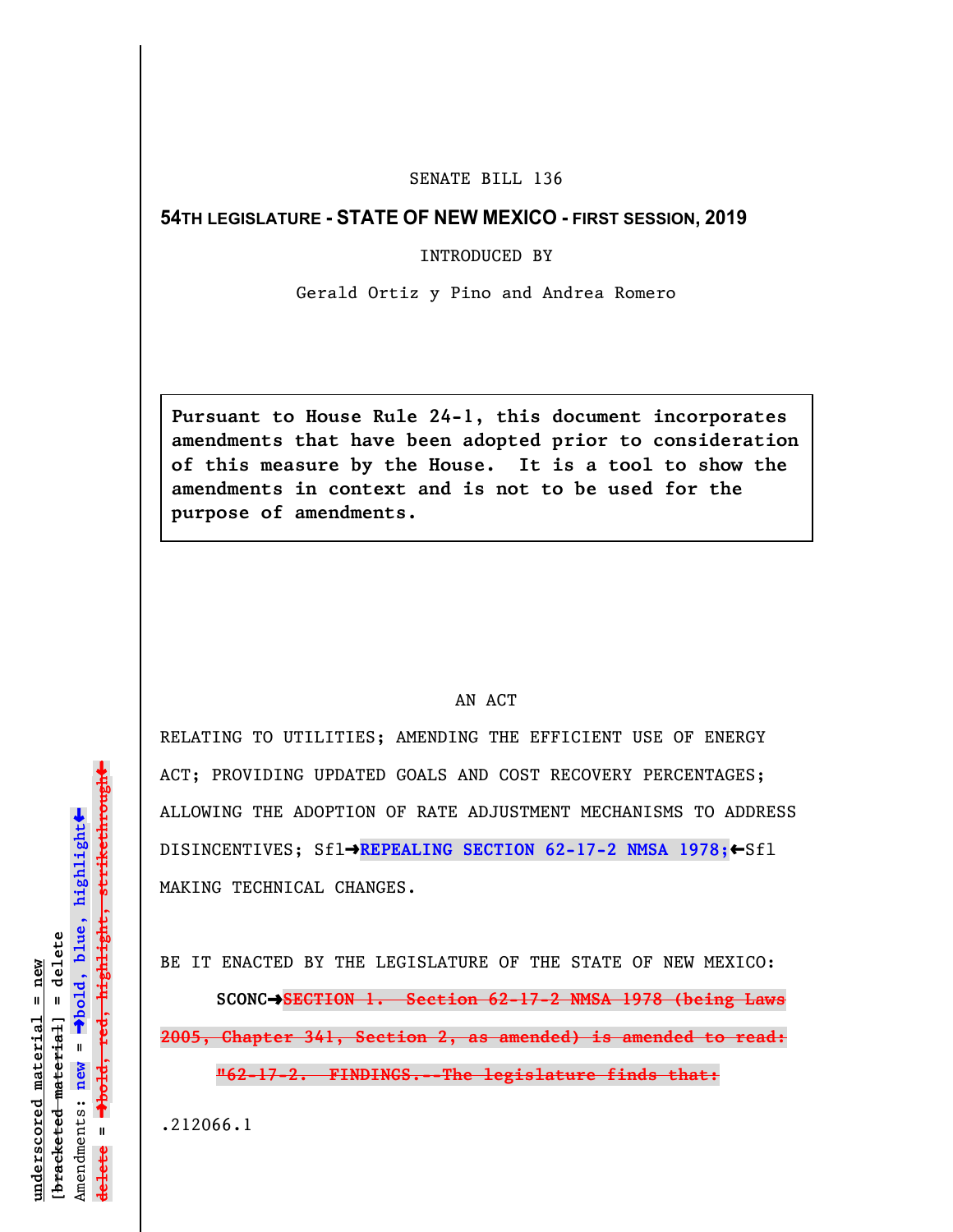## SENATE BILL 136

## **54TH LEGISLATURE - STATE OF NEW MEXICO - FIRST SESSION, 2019**

INTRODUCED BY

Gerald Ortiz y Pino and Andrea Romero

**Pursuant to House Rule 24-1, this document incorporates amendments that have been adopted prior to consideration of this measure by the House. It is a tool to show the amendments in context and is not to be used for the purpose of amendments.** 

## AN ACT

RELATING TO UTILITIES; AMENDING THE EFFICIENT USE OF ENERGY ACT; PROVIDING UPDATED GOALS AND COST RECOVERY PERCENTAGES; ALLOWING THE ADOPTION OF RATE ADJUSTMENT MECHANISMS TO ADDRESS DISINCENTIVES; Sfl→REPEALING SECTION 62-17-2 NMSA 1978;←Sfl MAKING TECHNICAL CHANGES.

BE IT ENACTED BY THE LEGISLATURE OF THE STATE OF NEW MEXICO: **SCONC**º**SECTION 1. Section 62-17-2 NMSA 1978 (being Laws 2005, Chapter 341, Section 2, as amended) is amended to read: "62-17-2. FINDINGS.--The legislature finds that:**

.212066.1

 $\ddag$ º**bold, red, highlight, strikethrough**  $\ddot{\bullet}$ º**bold, blue, highlight**  $b$ racketed material] = delete **[bracketed material] = delete** inderscored material = new **underscored material = new** Amendments: **new** =  $\mathbf{I}$ **delete =** lelete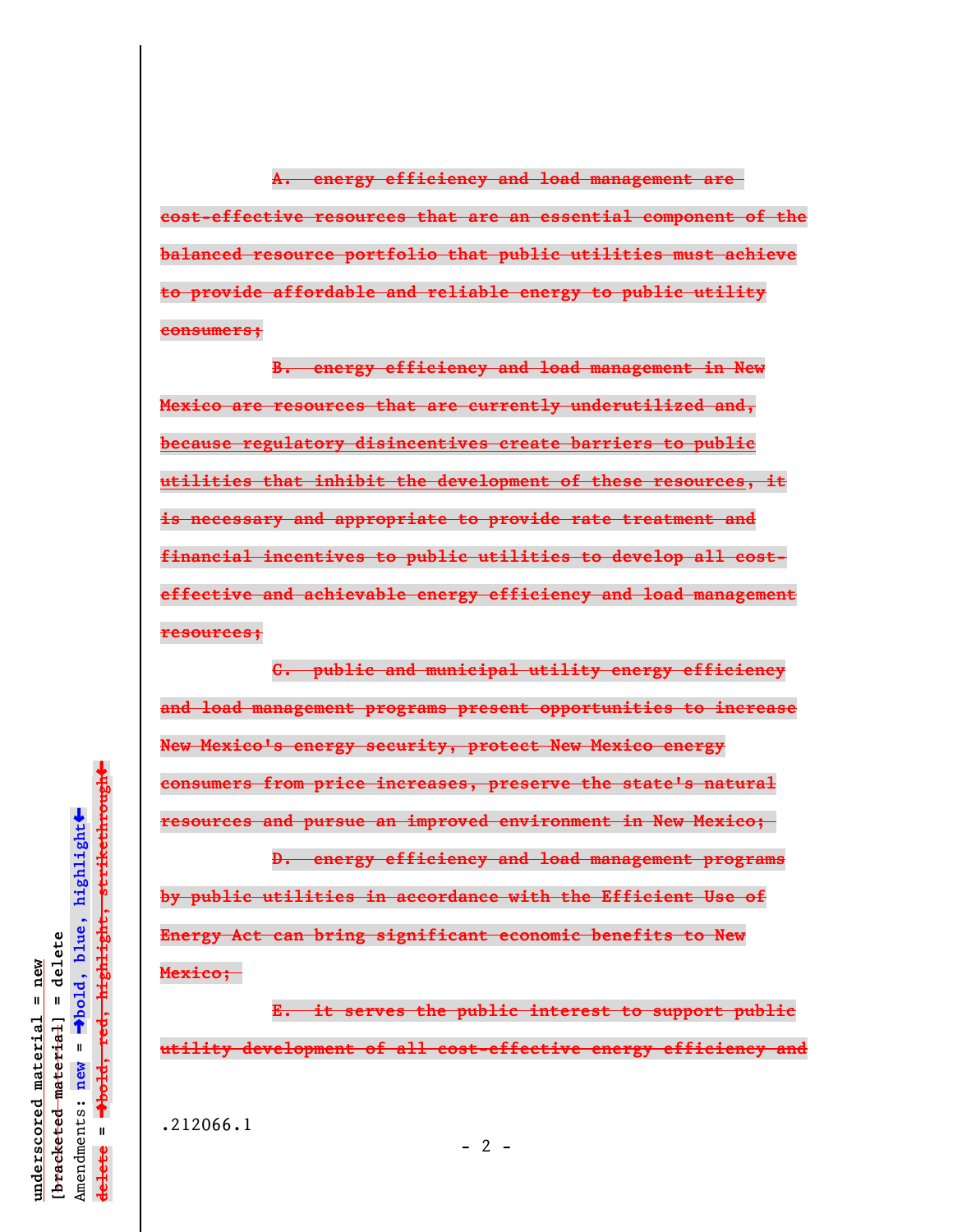**A. energy efficiency and load management are cost-effective resources that are an essential component of the balanced resource portfolio that public utilities must achieve to provide affordable and reliable energy to public utility consumers;**

**B. energy efficiency and load management in New Mexico are resources that are currently underutilized and, because regulatory disincentives create barriers to public utilities that inhibit the development of these resources, it is necessary and appropriate to provide rate treatment and financial incentives to public utilities to develop all costeffective and achievable energy efficiency and load management resources;**

**C. public and municipal utility energy efficiency and load management programs present opportunities to increase New Mexico's energy security, protect New Mexico energy consumers from price increases, preserve the state's natural resources and pursue an improved environment in New Mexico;** 

**D. energy efficiency and load management programs by public utilities in accordance with the Efficient Use of Energy Act can bring significant economic benefits to New Mexico;** 

**E. it serves the public interest to support public utility development of all cost-effective energy efficiency and**

.212066.1

 $\ddag$ º**bold, red, highlight, strikethrough**  $\ddot{\bullet}$ º**bold, blue, highlight**  $b$ racketed material] = delete **[bracketed material] = delete** inderscored material = new **underscored material = new** Amendments: **new** =  $\mathbf{I}$ Amendments: new  $\mathbf{u}$ **delete =** lelete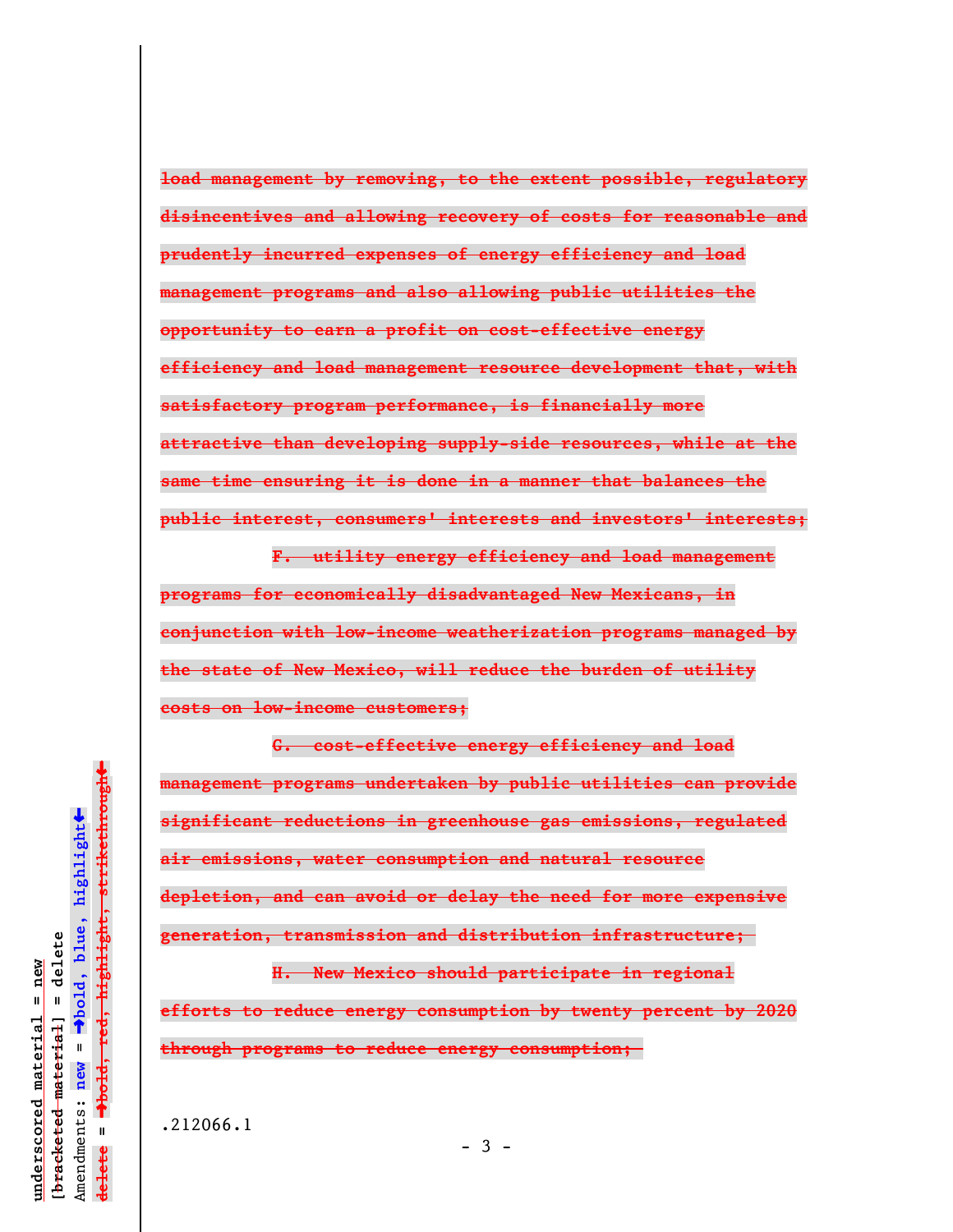**load management by removing, to the extent possible, regulatory disincentives and allowing recovery of costs for reasonable and prudently incurred expenses of energy efficiency and load management programs and also allowing public utilities the opportunity to earn a profit on cost-effective energy efficiency and load management resource development that, with satisfactory program performance, is financially more attractive than developing supply-side resources, while at the same time ensuring it is done in a manner that balances the public interest, consumers' interests and investors' interests;**

**F. utility energy efficiency and load management programs for economically disadvantaged New Mexicans, in conjunction with low-income weatherization programs managed by the state of New Mexico, will reduce the burden of utility costs on low-income customers;**

**G. cost-effective energy efficiency and load management programs undertaken by public utilities can provide significant reductions in greenhouse gas emissions, regulated air emissions, water consumption and natural resource depletion, and can avoid or delay the need for more expensive generation, transmission and distribution infrastructure;** 

**H. New Mexico should participate in regional efforts to reduce energy consumption by twenty percent by 2020 through programs to reduce energy consumption;** 

.212066.1

 $\ddag$ º**bold, red, highlight, strikethrough**  $\ddot{\bullet}$ º**bold, blue, highlight**  $\frac{1}{2}$ bracketed material = delete **[bracketed material] = delete** inderscored material = new **underscored material = new** Amendments: **new** =  $\mathbf{I}$ Amendments: new  $\mathbf{u}$ **delete =** lelete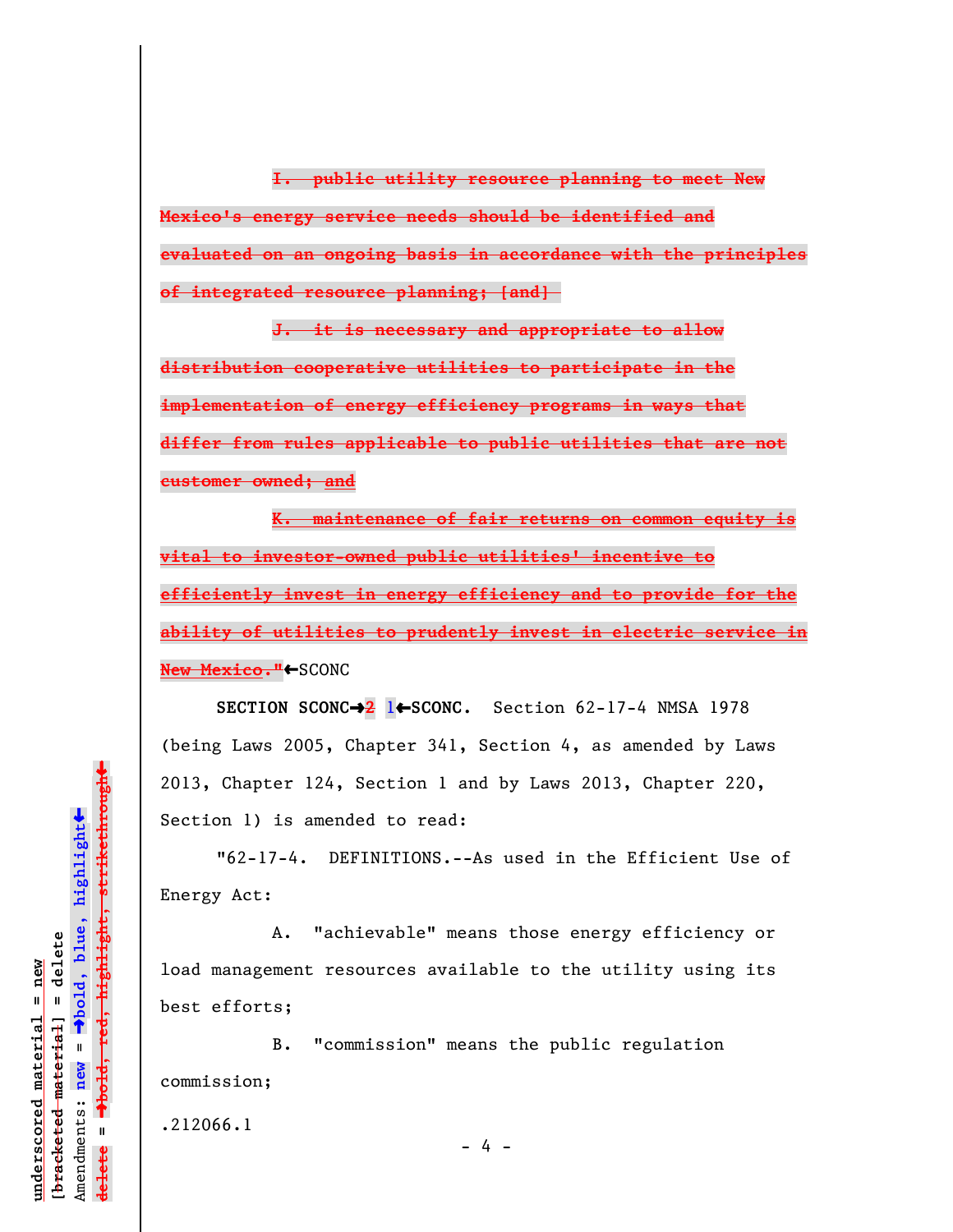**I. public utility resource planning to meet New Mexico's energy service needs should be identified and evaluated on an ongoing basis in accordance with the principles of integrated resource planning; [and]** 

**J. it is necessary and appropriate to allow distribution cooperative utilities to participate in the implementation of energy efficiency programs in ways that differ from rules applicable to public utilities that are not customer owned; and**

**K. maintenance of fair returns on common equity is vital to investor-owned public utilities' incentive to efficiently invest in energy efficiency and to provide for the ability of utilities to prudently invest in electric service in New Mexico.<sup>"</sup>←SCONC** 

**SECTION SCONC→<sup>2</sup>** 1←SCONC. Section 62-17-4 NMSA 1978 (being Laws 2005, Chapter 341, Section 4, as amended by Laws 2013, Chapter 124, Section 1 and by Laws 2013, Chapter 220, Section 1) is amended to read:

"62-17-4. DEFINITIONS.--As used in the Efficient Use of Energy Act:

A. "achievable" means those energy efficiency or load management resources available to the utility using its best efforts;

B. "commission" means the public regulation commission;

.212066.1

- 4 -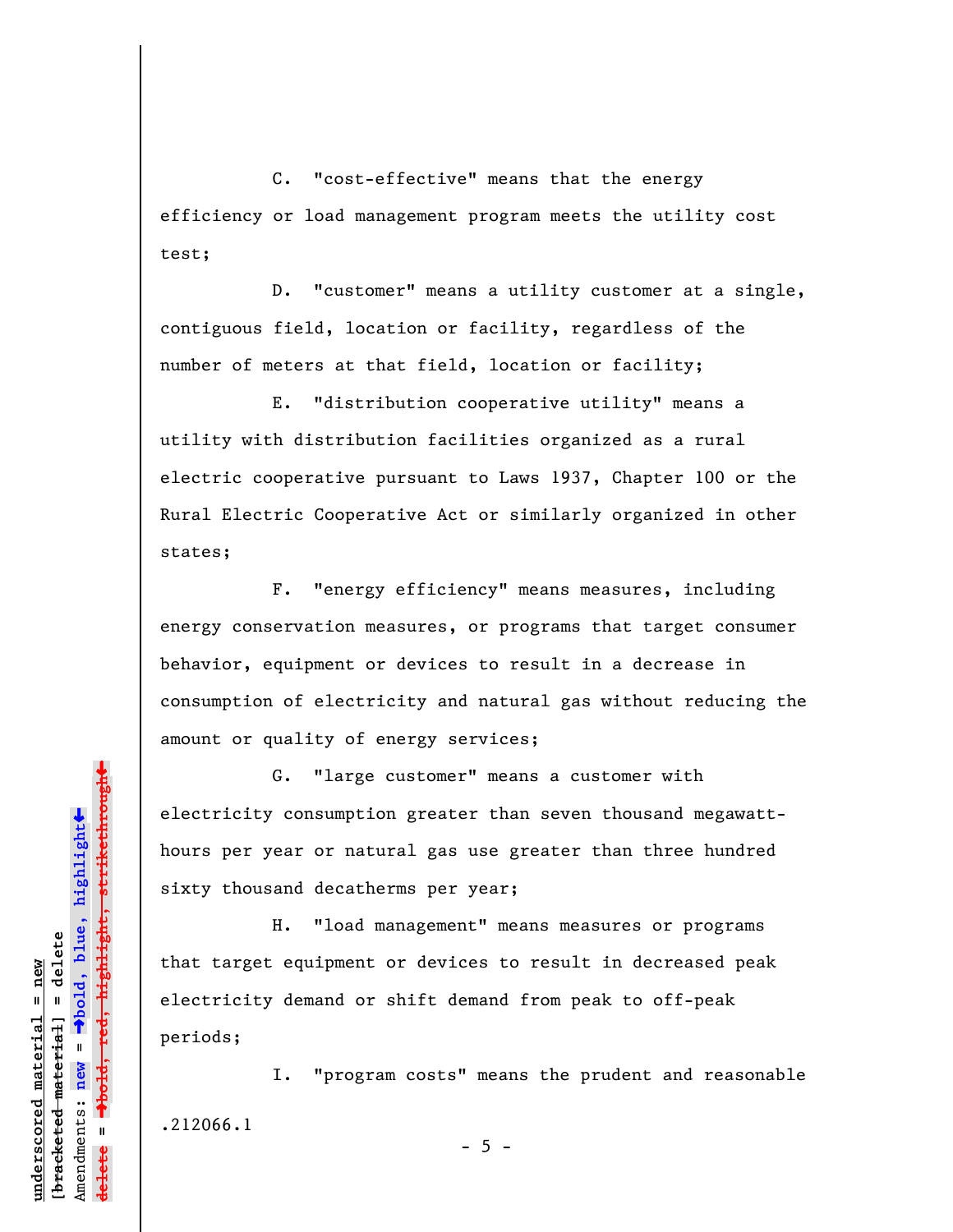C. "cost-effective" means that the energy efficiency or load management program meets the utility cost test;

D. "customer" means a utility customer at a single, contiguous field, location or facility, regardless of the number of meters at that field, location or facility;

E. "distribution cooperative utility" means a utility with distribution facilities organized as a rural electric cooperative pursuant to Laws 1937, Chapter 100 or the Rural Electric Cooperative Act or similarly organized in other states;

F. "energy efficiency" means measures, including energy conservation measures, or programs that target consumer behavior, equipment or devices to result in a decrease in consumption of electricity and natural gas without reducing the amount or quality of energy services;

G. "large customer" means a customer with electricity consumption greater than seven thousand megawatthours per year or natural gas use greater than three hundred sixty thousand decatherms per year;

H. "load management" means measures or programs that target equipment or devices to result in decreased peak electricity demand or shift demand from peak to off-peak periods;

I. "program costs" means the prudent and reasonable .212066.1

 $- 5 -$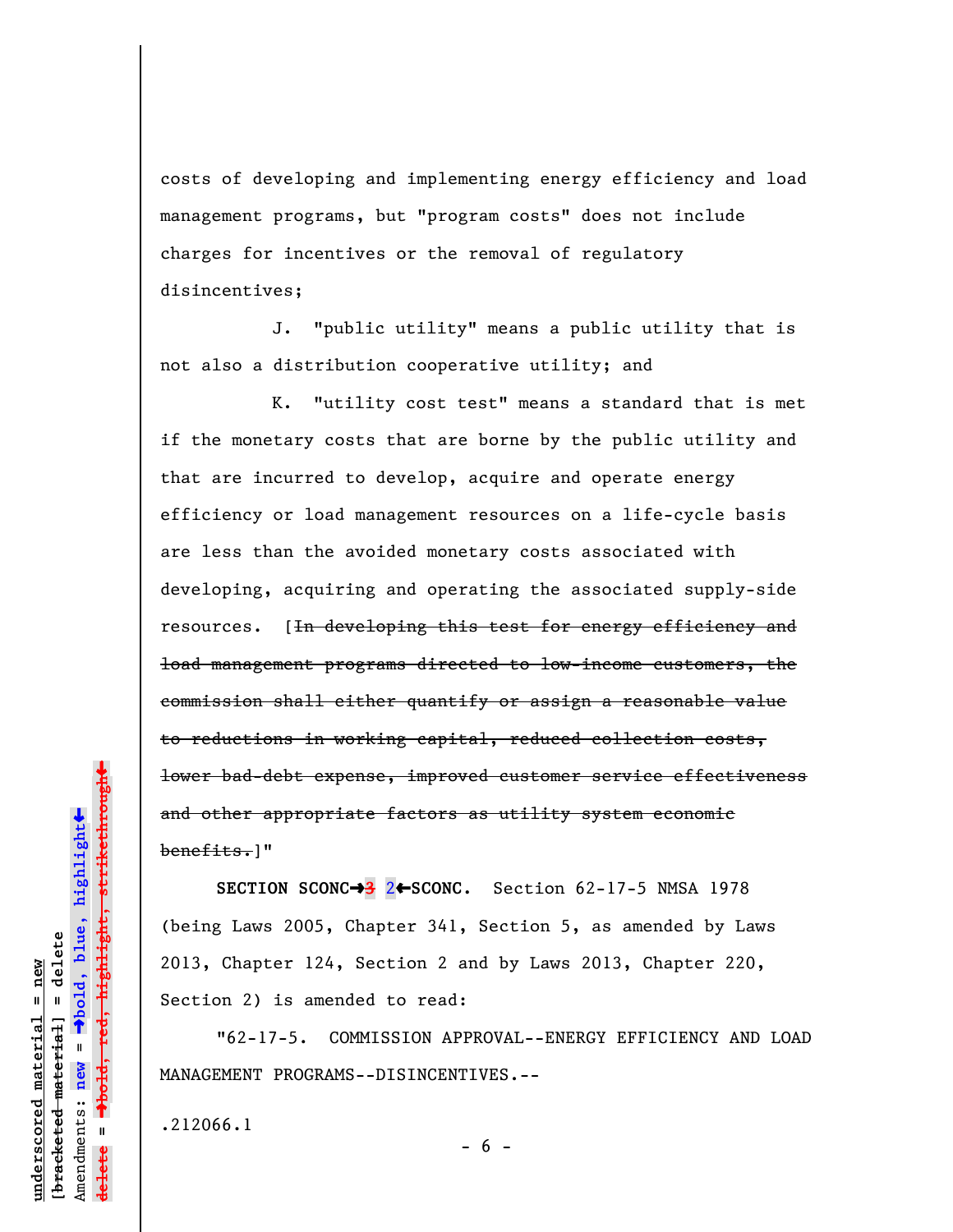costs of developing and implementing energy efficiency and load management programs, but "program costs" does not include charges for incentives or the removal of regulatory disincentives;

J. "public utility" means a public utility that is not also a distribution cooperative utility; and

K. "utility cost test" means a standard that is met if the monetary costs that are borne by the public utility and that are incurred to develop, acquire and operate energy efficiency or load management resources on a life-cycle basis are less than the avoided monetary costs associated with developing, acquiring and operating the associated supply-side resources. [<del>In developing this test for energy efficiency and</del> load management programs directed to low-income customers, the commission shall either quantify or assign a reasonable value to reductions in working capital, reduced collection costs, lower bad-debt expense, improved customer service effectiveness and other appropriate factors as utility system economic benefits.]"

**SECTION SCONC→3** 2←SCONC. Section 62-17-5 NMSA 1978 (being Laws 2005, Chapter 341, Section 5, as amended by Laws 2013, Chapter 124, Section 2 and by Laws 2013, Chapter 220, Section 2) is amended to read:

"62-17-5. COMMISSION APPROVAL--ENERGY EFFICIENCY AND LOAD MANAGEMENT PROGRAMS--DISINCENTIVES.--

.212066.1

red<del>, highlight, strikethrough</del> º**bold, red, highlight, strikethrough**  $\ddot{\bullet}$ º**bold, blue, highlight** bracketed material] = delete **[bracketed material] = delete** inderscored material = new **underscored material = new** Amendments: **new** =  $\mathbf{I}$ Amendments: new **delete =**

 $- 6 -$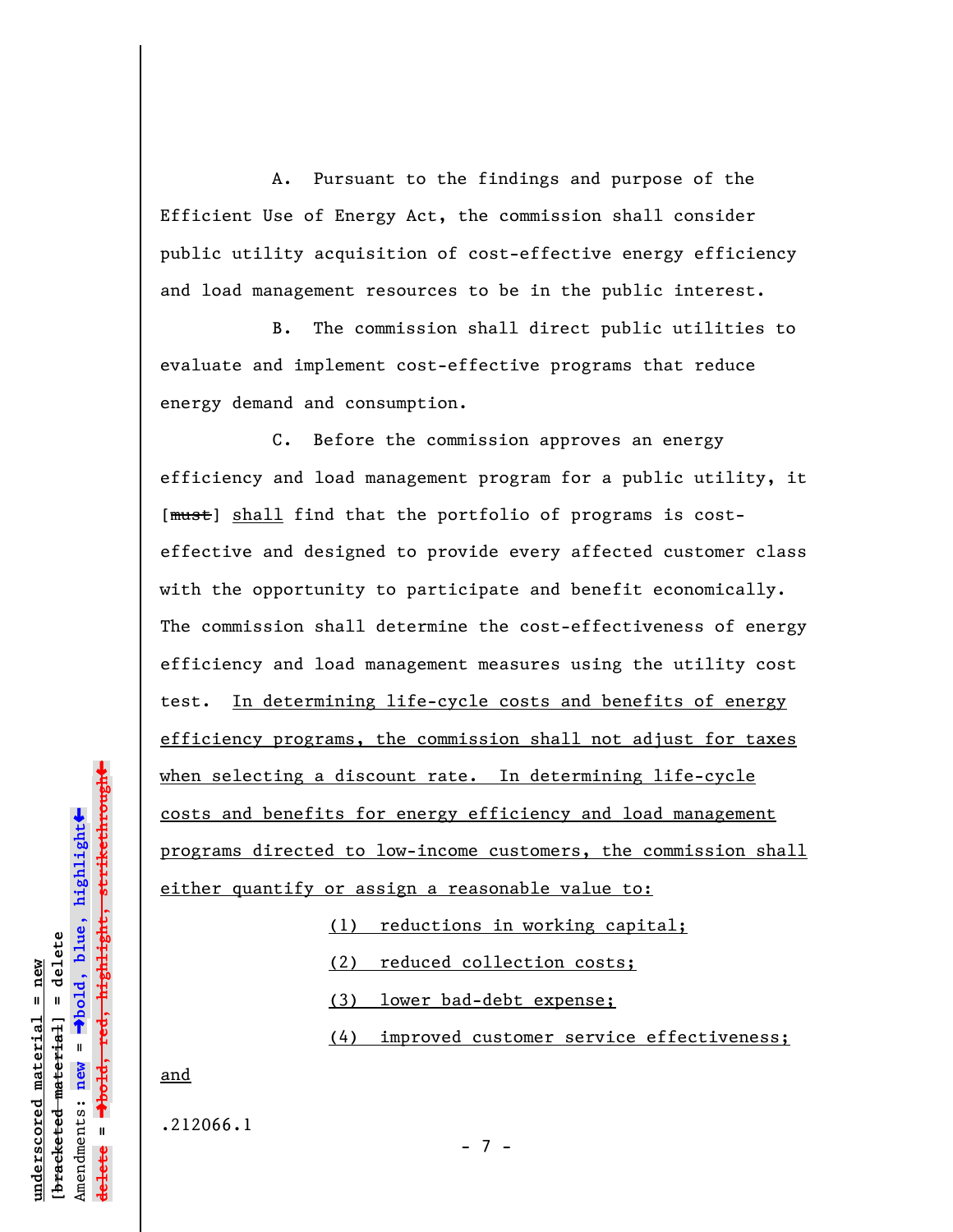A. Pursuant to the findings and purpose of the Efficient Use of Energy Act, the commission shall consider public utility acquisition of cost-effective energy efficiency and load management resources to be in the public interest.

B. The commission shall direct public utilities to evaluate and implement cost-effective programs that reduce energy demand and consumption.

C. Before the commission approves an energy efficiency and load management program for a public utility, it [ $mu$ st] shall find that the portfolio of programs is costeffective and designed to provide every affected customer class with the opportunity to participate and benefit economically. The commission shall determine the cost-effectiveness of energy efficiency and load management measures using the utility cost test. In determining life-cycle costs and benefits of energy efficiency programs, the commission shall not adjust for taxes when selecting a discount rate. In determining life-cycle costs and benefits for energy efficiency and load management programs directed to low-income customers, the commission shall either quantify or assign a reasonable value to:

(1) reductions in working capital;

(2) reduced collection costs;

(3) lower bad-debt expense;

(4) improved customer service effectiveness;

and

.212066.1

º**bold, red, highlight, strikethrough** º**bold, blue, highlight** bracketed material] = delete **[bracketed material] = delete** Amendments: **new** =  $\mathbf{u}$ Amendments: new **delete =**

 $\ddot{\bullet}$ 

 $\ddag$ 

**underscored material = new**

inderscored material = new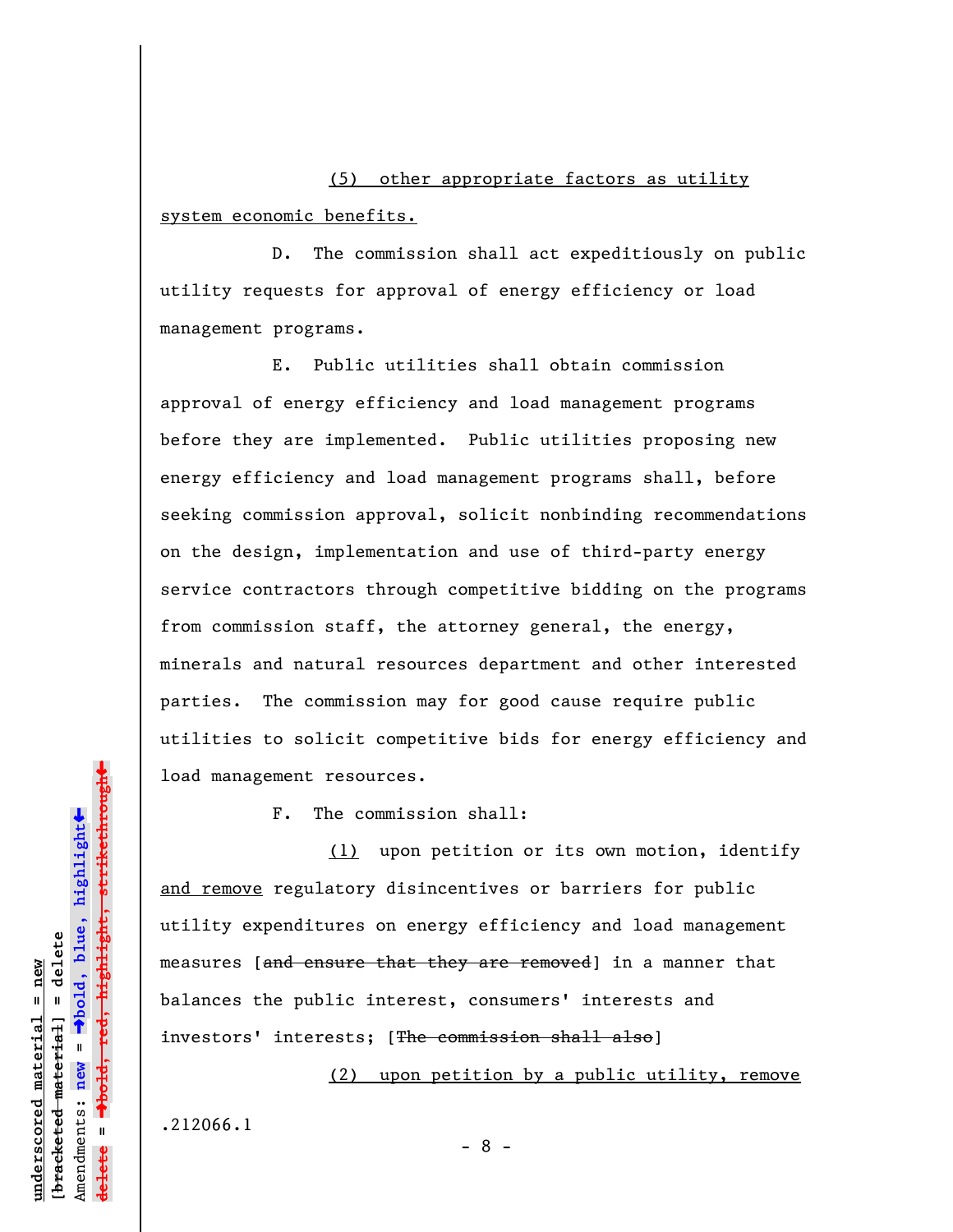(5) other appropriate factors as utility system economic benefits.

D. The commission shall act expeditiously on public utility requests for approval of energy efficiency or load management programs.

E. Public utilities shall obtain commission approval of energy efficiency and load management programs before they are implemented. Public utilities proposing new energy efficiency and load management programs shall, before seeking commission approval, solicit nonbinding recommendations on the design, implementation and use of third-party energy service contractors through competitive bidding on the programs from commission staff, the attorney general, the energy, minerals and natural resources department and other interested parties. The commission may for good cause require public utilities to solicit competitive bids for energy efficiency and load management resources.

F. The commission shall:

(1) upon petition or its own motion, identify and remove regulatory disincentives or barriers for public utility expenditures on energy efficiency and load management measures [and ensure that they are removed] in a manner that balances the public interest, consumers' interests and investors' interests; [The commission shall also]

(2) upon petition by a public utility, remove

.212066.1

- 8 -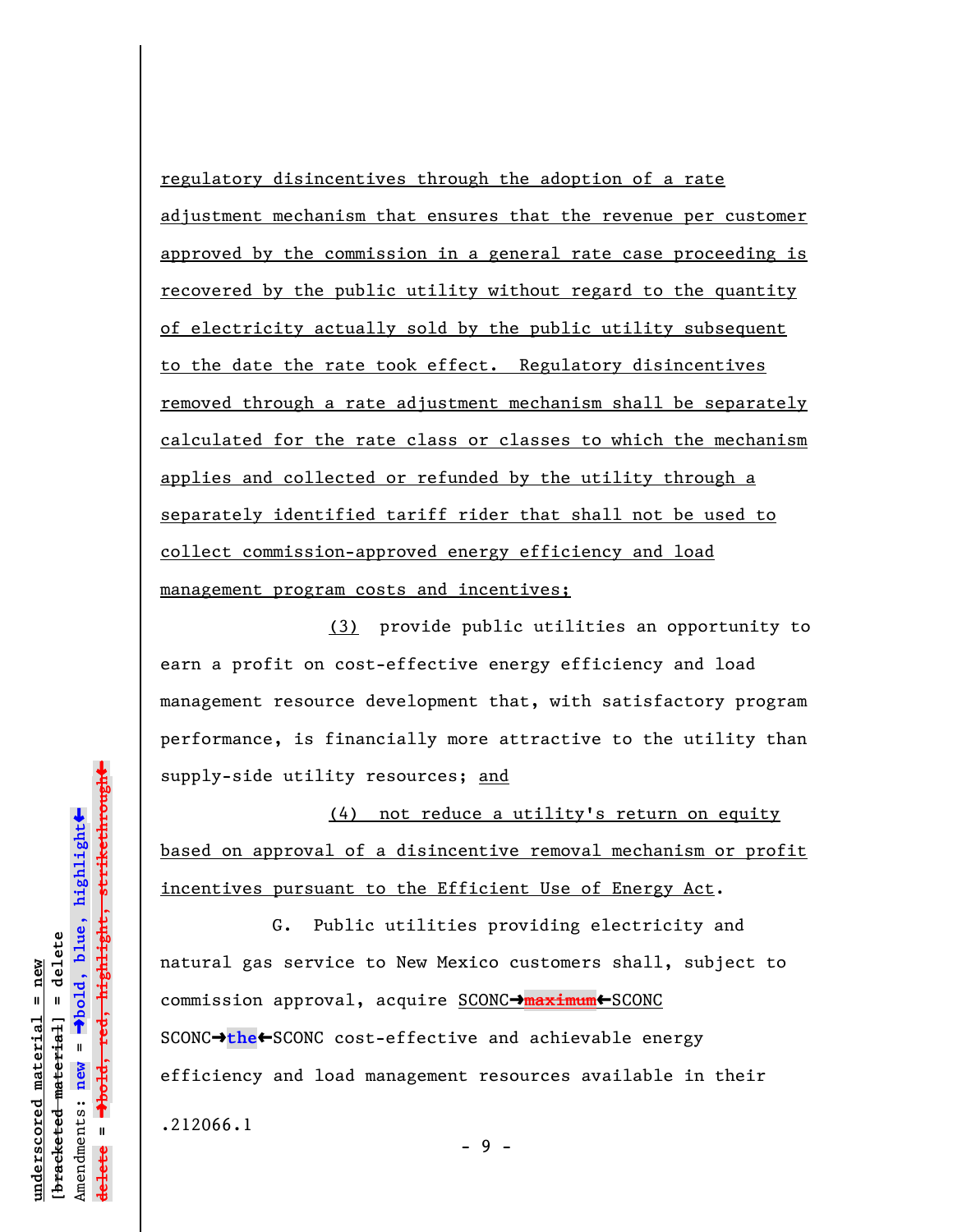regulatory disincentives through the adoption of a rate adjustment mechanism that ensures that the revenue per customer approved by the commission in a general rate case proceeding is recovered by the public utility without regard to the quantity of electricity actually sold by the public utility subsequent to the date the rate took effect. Regulatory disincentives removed through a rate adjustment mechanism shall be separately calculated for the rate class or classes to which the mechanism applies and collected or refunded by the utility through a separately identified tariff rider that shall not be used to collect commission-approved energy efficiency and load management program costs and incentives;

(3) provide public utilities an opportunity to earn a profit on cost-effective energy efficiency and load management resource development that, with satisfactory program performance, is financially more attractive to the utility than supply-side utility resources; and

(4) not reduce a utility's return on equity based on approval of a disincentive removal mechanism or profit incentives pursuant to the Efficient Use of Energy Act.

G. Public utilities providing electricity and natural gas service to New Mexico customers shall, subject to commission approval, acquire SCONC<sup>+</sup>maximum<sup>+</sup>SCONC SCONC<sup>+</sup>the<sup>+</sup>SCONC cost-effective and achievable energy efficiency and load management resources available in their .212066.1

- 9 -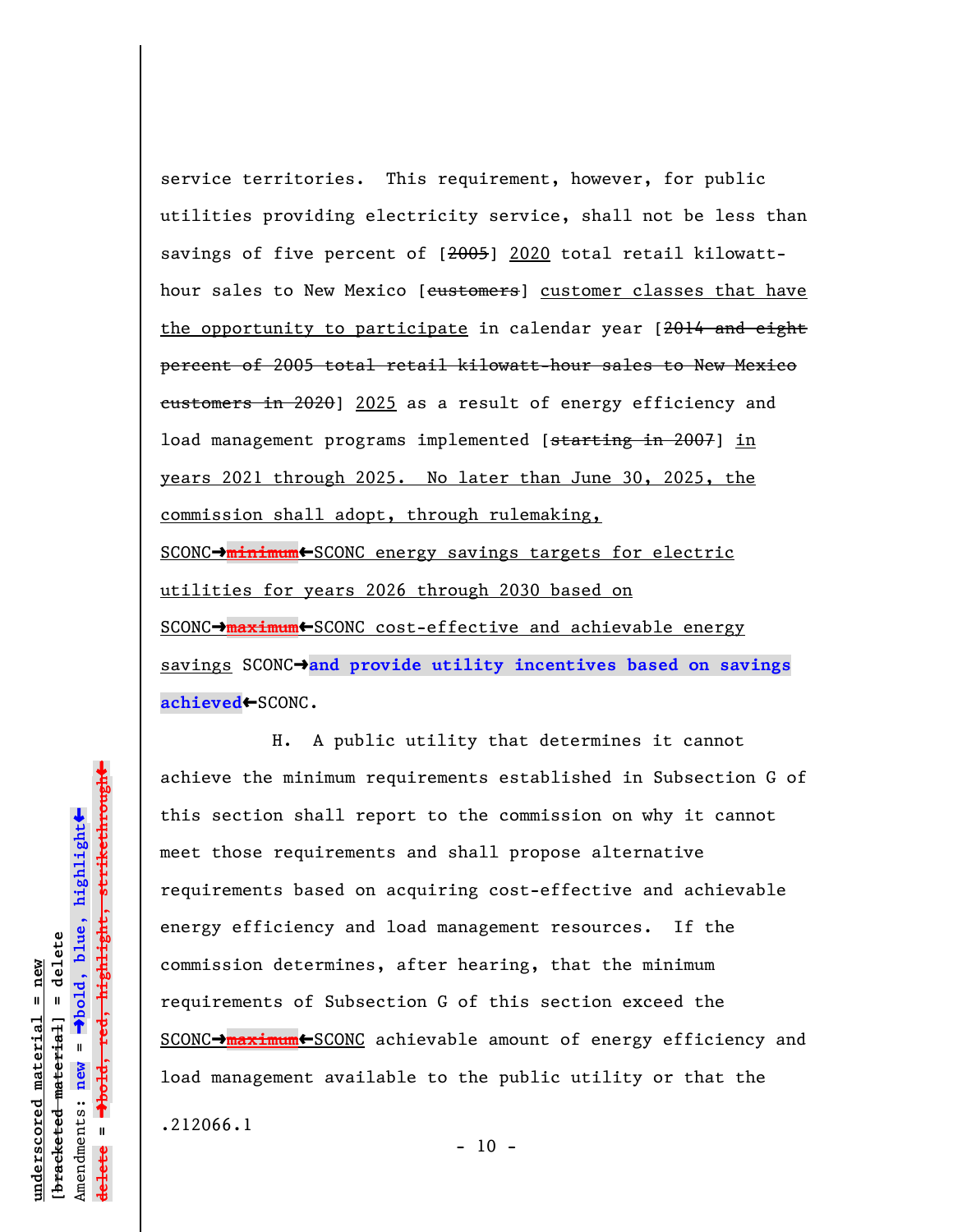service territories. This requirement, however, for public utilities providing electricity service, shall not be less than savings of five percent of [2005] 2020 total retail kilowatthour sales to New Mexico [customers] customer classes that have the opportunity to participate in calendar year [2014 and eight percent of 2005 total retail kilowatt-hour sales to New Mexico eustomers in 2020] 2025 as a result of energy efficiency and load management programs implemented [starting in 2007] in years 2021 through 2025. No later than June 30, 2025, the commission shall adopt, through rulemaking, SCONC $\rightarrow$ minimum<br/>
scONC energy savings targets for electric utilities for years 2026 through 2030 based on SCONC<sup>-</sup>**maximum**<sup>-</sup>SCONC cost-effective and achievable energy savings SCONC<sup>+</sup> and provide utility incentives based on savings achieved←SCONC.

H. A public utility that determines it cannot achieve the minimum requirements established in Subsection G of this section shall report to the commission on why it cannot meet those requirements and shall propose alternative requirements based on acquiring cost-effective and achievable energy efficiency and load management resources. If the commission determines, after hearing, that the minimum requirements of Subsection G of this section exceed the SCONC<sup>-</sup>maximum<sup>-SCONC</sup> achievable amount of energy efficiency and load management available to the public utility or that the .212066.1

 $\ddag$ º**bold, red, highlight, strikethrough**  $\ddot{\bullet}$ º**bold, blue, highlight** bracketed material] = delete **[bracketed material] = delete** inderscored material = new **underscored material = new** Amendments: **new** =  $\mathbf{I}$ Amendments: new **delete =**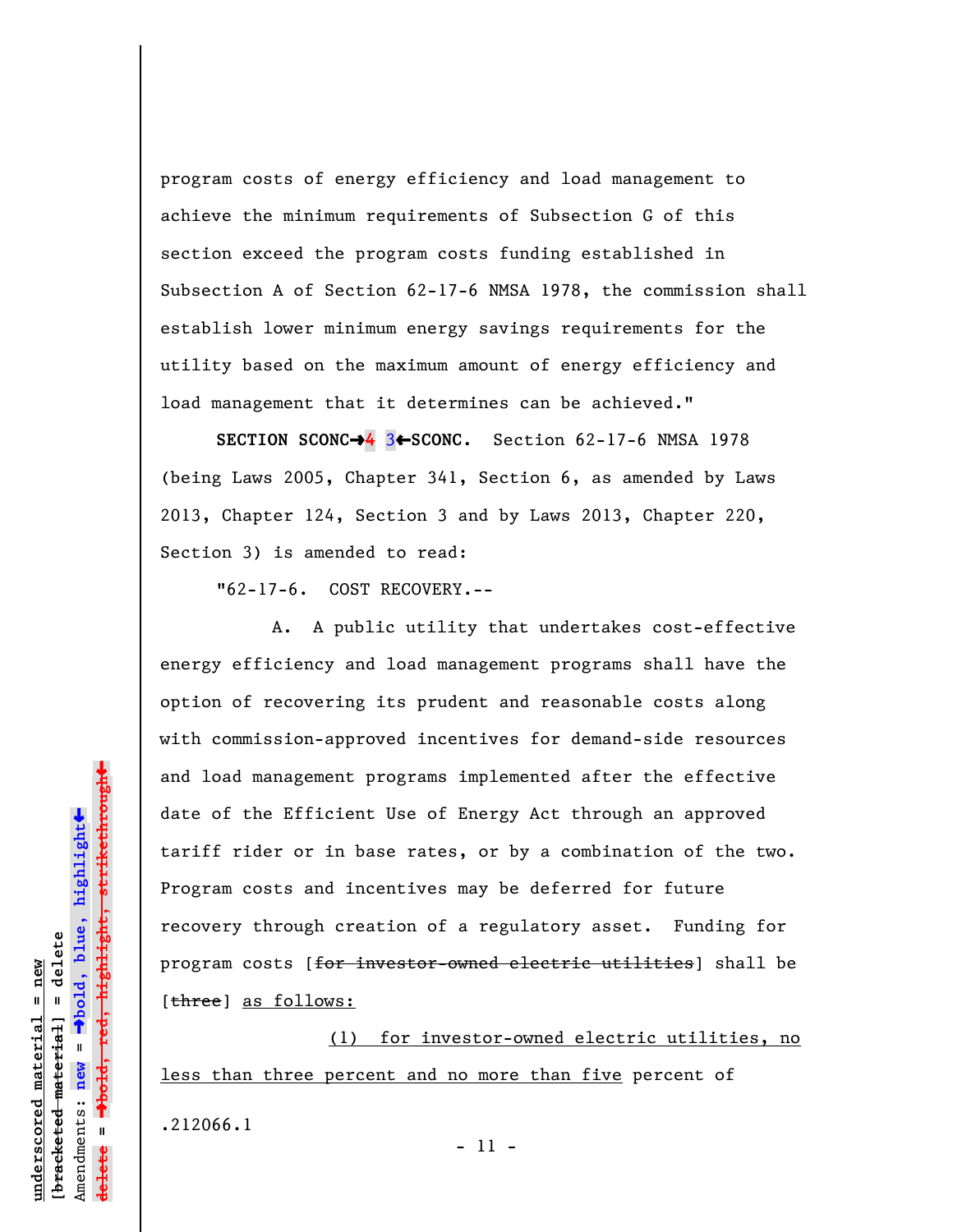program costs of energy efficiency and load management to achieve the minimum requirements of Subsection G of this section exceed the program costs funding established in Subsection A of Section 62-17-6 NMSA 1978, the commission shall establish lower minimum energy savings requirements for the utility based on the maximum amount of energy efficiency and load management that it determines can be achieved."

**SECTION SCONC→4** 3←SCONC. Section 62-17-6 NMSA 1978 (being Laws 2005, Chapter 341, Section 6, as amended by Laws 2013, Chapter 124, Section 3 and by Laws 2013, Chapter 220, Section 3) is amended to read:

"62-17-6. COST RECOVERY.--

A. A public utility that undertakes cost-effective energy efficiency and load management programs shall have the option of recovering its prudent and reasonable costs along with commission-approved incentives for demand-side resources and load management programs implemented after the effective date of the Efficient Use of Energy Act through an approved tariff rider or in base rates, or by a combination of the two. Program costs and incentives may be deferred for future recovery through creation of a regulatory asset. Funding for program costs [for investor-owned electric utilities] shall be [three] as follows:

(1) for investor-owned electric utilities, no less than three percent and no more than five percent of .212066.1 - 11 -

 $\ddag$ º**bold, red, highlight, strikethrough**  $\ddot{\bullet}$ º**bold, blue, highlight** bracketed material] = delete **[bracketed material] = delete** inderscored material = new **underscored material = new** Amendments: **new** =  $\mathbf{u}$ Amendments: new **delete =**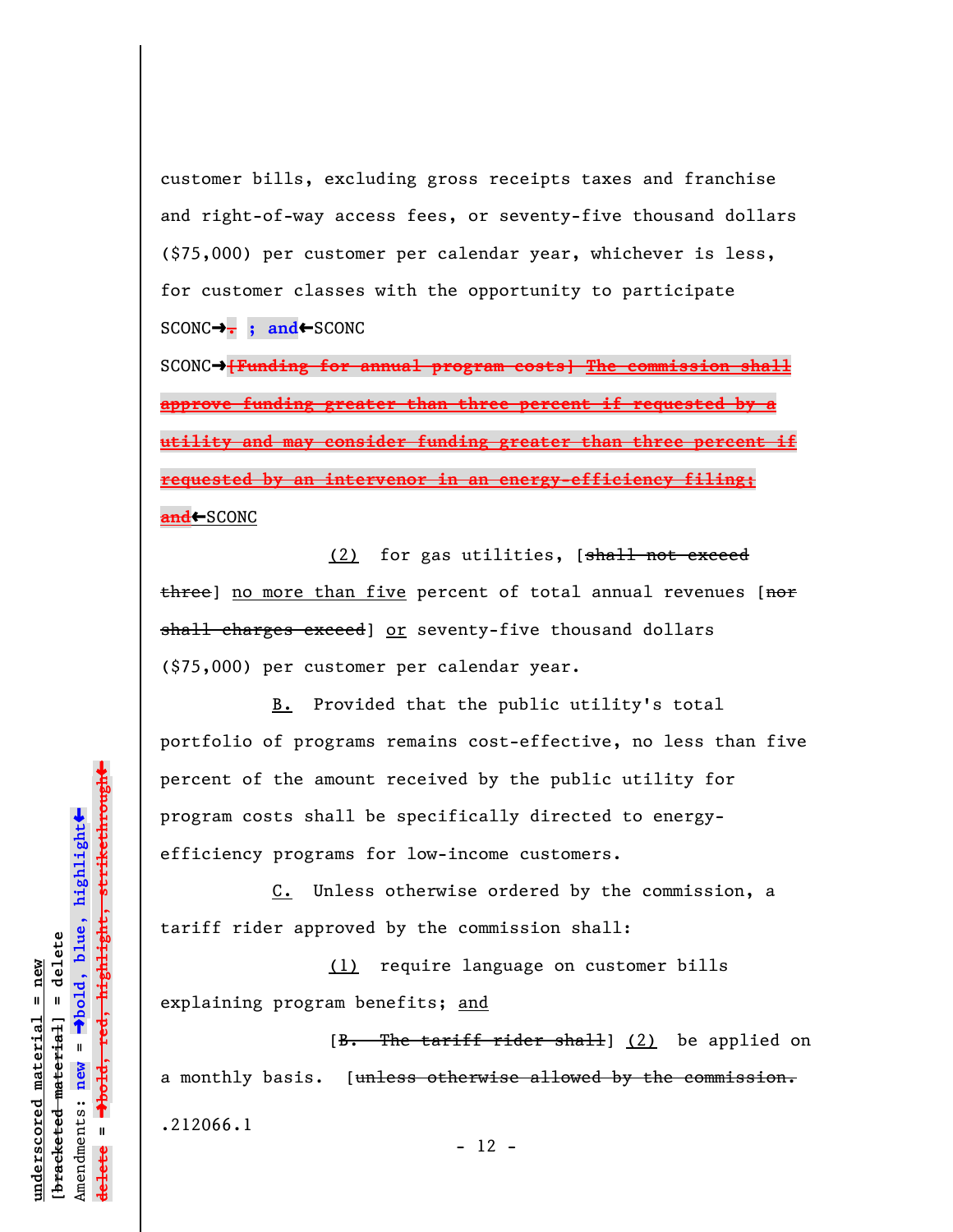customer bills, excluding gross receipts taxes and franchise and right-of-way access fees, or seventy-five thousand dollars (\$75,000) per customer per calendar year, whichever is less, for customer classes with the opportunity to participate SCONC→ **; and←**SCONC

SCONC<sup>+</sup>[Funding for annual program costs] The commission shall **approve funding greater than three percent if requested by a utility and may consider funding greater than three percent if requested by an intervenor in an energy-efficiency filing; an<del>d</del>←**SCONC

(2) for gas utilities,  $[shall not exceed]$ three] no more than five percent of total annual revenues [nor shall charges exceed] or seventy-five thousand dollars (\$75,000) per customer per calendar year.

B. Provided that the public utility's total portfolio of programs remains cost-effective, no less than five percent of the amount received by the public utility for program costs shall be specifically directed to energyefficiency programs for low-income customers.

C. Unless otherwise ordered by the commission, a tariff rider approved by the commission shall:

(1) require language on customer bills explaining program benefits; and

[B. The tariff rider shall] (2) be applied on a monthly basis. [unless otherwise allowed by the commission. .212066.1

 $- 12 -$